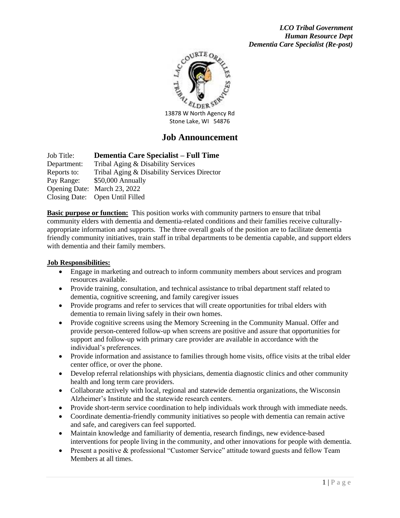

# **Job Announcement**

Job Title: **Dementia Care Specialist – Full Time** Department: Tribal Aging & Disability Services Reports to: Tribal Aging & Disability Services Director Pay Range: \$50,000 Annually Opening Date: March 23, 2022 Closing Date: Open Until Filled

**Basic purpose or function:** This position works with community partners to ensure that tribal community elders with dementia and dementia-related conditions and their families receive culturallyappropriate information and supports. The three overall goals of the position are to facilitate dementia friendly community initiatives, train staff in tribal departments to be dementia capable, and support elders with dementia and their family members.

#### **Job Responsibilities:**

- Engage in marketing and outreach to inform community members about services and program resources available.
- Provide training, consultation, and technical assistance to tribal department staff related to dementia, cognitive screening, and family caregiver issues
- Provide programs and refer to services that will create opportunities for tribal elders with dementia to remain living safely in their own homes.
- Provide cognitive screens using the Memory Screening in the Community Manual. Offer and provide person-centered follow-up when screens are positive and assure that opportunities for support and follow-up with primary care provider are available in accordance with the individual's preferences.
- Provide information and assistance to families through home visits, office visits at the tribal elder center office, or over the phone.
- Develop referral relationships with physicians, dementia diagnostic clinics and other community health and long term care providers.
- Collaborate actively with local, regional and statewide dementia organizations, the Wisconsin Alzheimer's Institute and the statewide research centers.
- Provide short-term service coordination to help individuals work through with immediate needs.
- Coordinate dementia-friendly community initiatives so people with dementia can remain active and safe, and caregivers can feel supported.
- Maintain knowledge and familiarity of dementia, research findings, new evidence-based interventions for people living in the community, and other innovations for people with dementia.
- Present a positive & professional "Customer Service" attitude toward guests and fellow Team Members at all times.